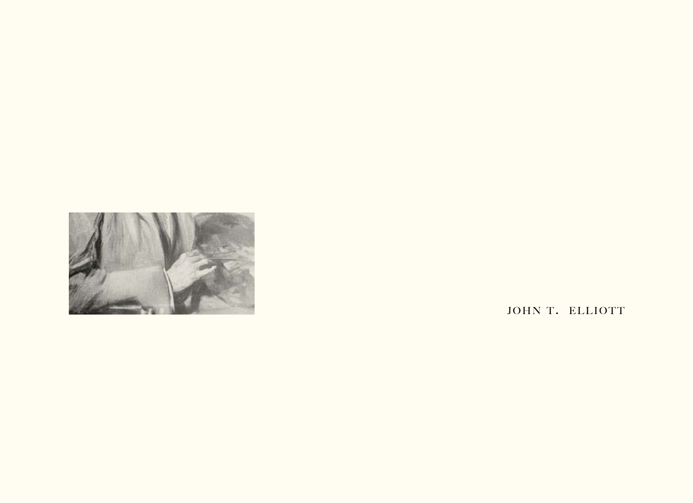

JOHN T. ELLIOTT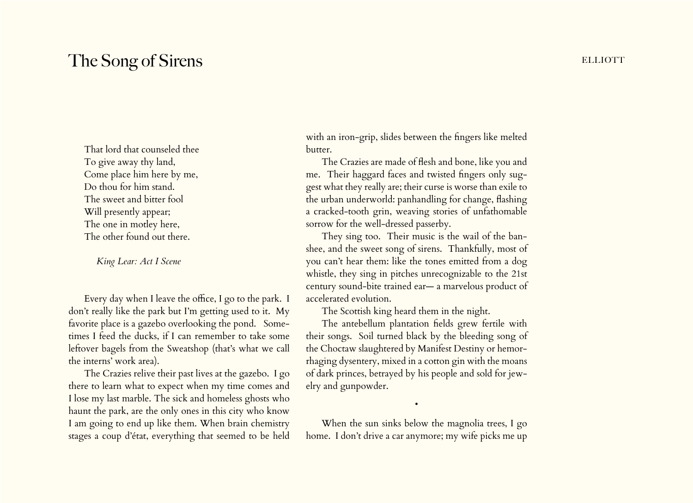## The Song of Sirens **ELLIOTT**

That lord that counseled thee To give away thy land, Come place him here by me, Do thou for him stand. The sweet and bitter fool Will presently appear; The one in motley here, The other found out there.

*King Lear: Act I Scene* 

Every day when I leave the office, I go to the park. I don't really like the park but I'm getting used to it. My favorite place is a gazebo overlooking the pond. Sometimes I feed the ducks, if I can remember to take some leftover bagels from the Sweatshop (that's what we call the interns' work area).

The Crazies relive their past lives at the gazebo. I go there to learn what to expect when my time comes and I lose my last marble. The sick and homeless ghosts who haunt the park, are the only ones in this city who know I am going to end up like them. When brain chemistry stages a coup d'état, everything that seemed to be held

with an iron-grip, slides between the fingers like melted butter.

The Crazies are made of flesh and bone, like you and me. Their haggard faces and twisted fingers only suggest what they really are; their curse is worse than exile to the urban underworld: panhandling for change, flashing a cracked-tooth grin, weaving stories of unfathomable sorrow for the well-dressed passerby.

They sing too. Their music is the wail of the banshee, and the sweet song of sirens. Thankfully, most of you can't hear them: like the tones emitted from a dog whistle, they sing in pitches unrecognizable to the 21st century sound-bite trained ear— a marvelous product of accelerated evolution.

The Scottish king heard them in the night.

The antebellum plantation fields grew fertile with their songs. Soil turned black by the bleeding song of the Choctaw slaughtered by Manifest Destiny or hemorrhaging dysentery, mixed in a cotton gin with the moans of dark princes, betrayed by his people and sold for jewelry and gunpowder.

When the sun sinks below the magnolia trees, I go home. I don't drive a car anymore; my wife picks me up

•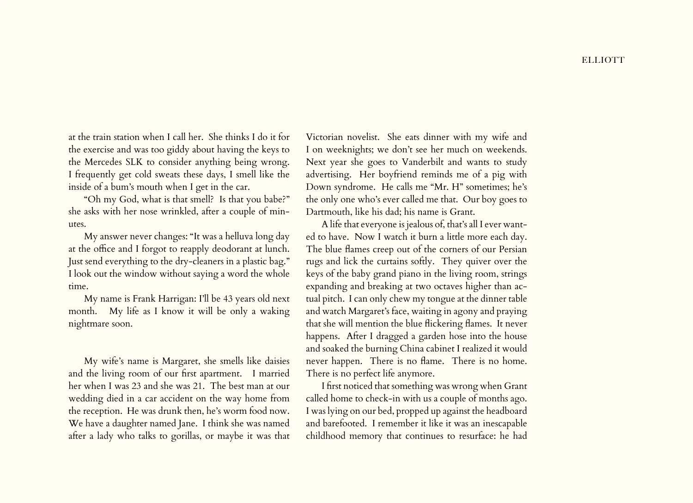at the train station when I call her. She thinks I do it for the exercise and was too giddy about having the keys to the Mercedes SLK to consider anything being wrong. I frequently get cold sweats these days, I smell like the inside of a bum's mouth when I get in the car.

"Oh my God, what is that smell? Is that you babe?" she asks with her nose wrinkled, after a couple of minutes.

My answer never changes: "It was a helluva long day at the office and I forgot to reapply deodorant at lunch. Just send everything to the dry-cleaners in a plastic bag." I look out the window without saying a word the whole time.

My name is Frank Harrigan: I'll be 43 years old next month. My life as I know it will be only a waking nightmare soon.

My wife's name is Margaret, she smells like daisies and the living room of our first apartment. I married her when I was 23 and she was 21. The best man at our wedding died in a car accident on the way home from the reception. He was drunk then, he's worm food now. We have a daughter named Jane. I think she was named after a lady who talks to gorillas, or maybe it was that Victorian novelist. She eats dinner with my wife and I on weeknights; we don't see her much on weekends. Next year she goes to Vanderbilt and wants to study advertising. Her boyfriend reminds me of a pig with Down syndrome. He calls me "Mr. H" sometimes; he's the only one who's ever called me that. Our boy goes to Dartmouth, like his dad; his name is Grant.

A life that everyone is jealous of, that's all I ever wanted to have. Now I watch it burn a little more each day. The blue flames creep out of the corners of our Persian rugs and lick the curtains softly. They quiver over the keys of the baby grand piano in the living room, strings expanding and breaking at two octaves higher than actual pitch. I can only chew my tongue at the dinner table and watch Margaret's face, waiting in agony and praying that she will mention the blue flickering flames. It never happens. After I dragged a garden hose into the house and soaked the burning China cabinet I realized it would never happen. There is no flame. There is no home. There is no perfect life anymore.

I first noticed that something was wrong when Grant called home to check-in with us a couple of months ago. I was lying on our bed, propped up against the headboard and barefooted. I remember it like it was an inescapable childhood memory that continues to resurface: he had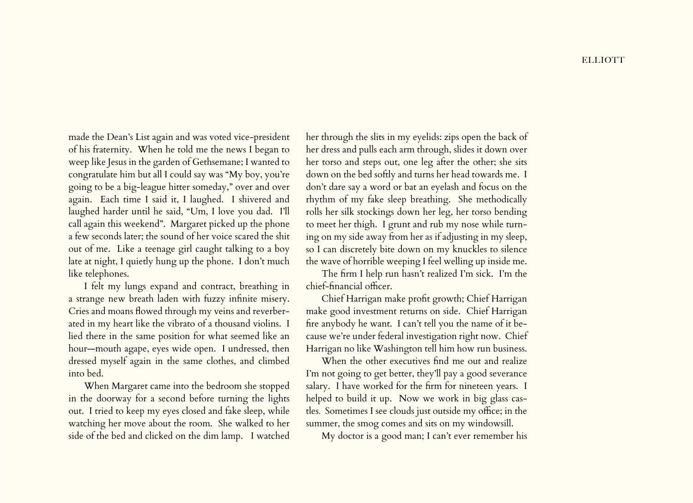made the Dean's List again and was voted vice-president of his fraternity. When he told me the news I began to weep like Jesus in the garden of Gethsemane; I wanted to congratulate him but all I could say was "My boy, you're going to be a big-league hitter someday," over and over again. Each time I said it, I laughed. I shivered and laughed harder until he said, "Um, I love you dad. I'll call again this weekend". Margaret picked up the phone a few seconds later; the sound of her voice scared the shit out of me. Like a teenage girl caught talking to a boy late at night, I quietly hung up the phone. I don't much like telephones.

I felt my lungs expand and contract, breathing in a strange new breath laden with fuzzy infinite misery. Cries and moans flowed through my veins and reverberated in my heart like the vibrato of a thousand violins. I lied there in the same position for what seemed like an hour—mouth agape, eyes wide open. I undressed, then dressed myself again in the same clothes, and climbed into bed.

When Margaret came into the bedroom she stopped in the doorway for a second before turning the lights out. I tried to keep my eyes closed and fake sleep, while watching her move about the room. She walked to her side of the bed and clicked on the dim lamp. I watched

her through the slits in my eyelids: zips open the back of her dress and pulls each arm through, slides it down over her torso and steps out, one leg after the other; she sits down on the bed softly and turns her head towards me. I don't dare say a word or bat an eyelash and focus on the rhythm of my fake sleep breathing. She methodically rolls her silk stockings down her leg, her torso bending to meet her thigh. I grunt and rub my nose while turning on my side away from her as if adjusting in my sleep, so I can discretely bite down on my knuckles to silence the wave of horrible weeping I feel welling up inside me.

The firm I help run hasn't realized I'm sick. I'm the chief-financial officer.

Chief Harrigan make profit growth; Chief Harrigan make good investment returns on side. Chief Harrigan fire anybody he want. I can't tell you the name of it because we're under federal investigation right now. Chief Harrigan no like Washington tell him how run business.

When the other executives find me out and realize I'm not going to get better, they'll pay a good severance salary. I have worked for the firm for nineteen years. I helped to build it up. Now we work in big glass castles*.* Sometimes I see clouds just outside my office; in the summer, the smog comes and sits on my windowsill.

My doctor is a good man; I can't ever remember his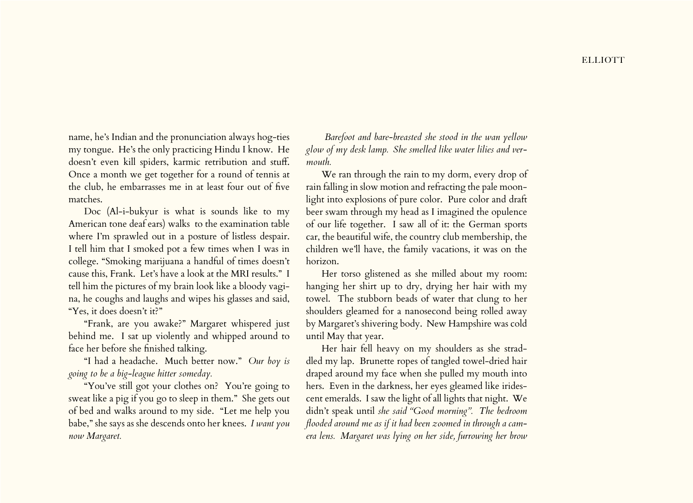name, he's Indian and the pronunciation always hog-ties my tongue. He's the only practicing Hindu I know. He doesn't even kill spiders, karmic retribution and stuff. Once a month we get together for a round of tennis at the club, he embarrasses me in at least four out of five matches.

Doc (Al-i-bukyur is what is sounds like to my American tone deaf ears) walks to the examination table where I'm sprawled out in a posture of listless despair. I tell him that I smoked pot a few times when I was in college. "Smoking marijuana a handful of times doesn't cause this, Frank. Let's have a look at the MRI results." I tell him the pictures of my brain look like a bloody vagina, he coughs and laughs and wipes his glasses and said, "Yes, it does doesn't it?"

"Frank, are you awake?" Margaret whispered just behind me. I sat up violently and whipped around to face her before she finished talking.

"I had a headache. Much better now." *Our boy is going to be a big-league hitter someday.*

"You've still got your clothes on? You're going to sweat like a pig if you go to sleep in them." She gets out of bed and walks around to my side. "Let me help you babe," she says as she descends onto her knees. *I want you now Margaret.* 

 *Barefoot and bare-breasted she stood in the wan yellow glow of my desk lamp. She smelled like water lilies and vermouth.* 

We ran through the rain to my dorm, every drop of rain falling in slow motion and refracting the pale moonlight into explosions of pure color. Pure color and draft beer swam through my head as I imagined the opulence of our life together. I saw all of it: the German sports car, the beautiful wife, the country club membership, the children we'll have, the family vacations, it was on the horizon.

Her torso glistened as she milled about my room: hanging her shirt up to dry, drying her hair with my towel. The stubborn beads of water that clung to her shoulders gleamed for a nanosecond being rolled away by Margaret's shivering body. New Hampshire was cold until May that year.

Her hair fell heavy on my shoulders as she straddled my lap. Brunette ropes of tangled towel-dried hair draped around my face when she pulled my mouth into hers. Even in the darkness, her eyes gleamed like iridescent emeralds. I saw the light of all lights that night. We didn't speak until *she said "Good morning". The bedroom flooded around me as if it had been zoomed in through a camera lens. Margaret was lying on her side, furrowing her brow*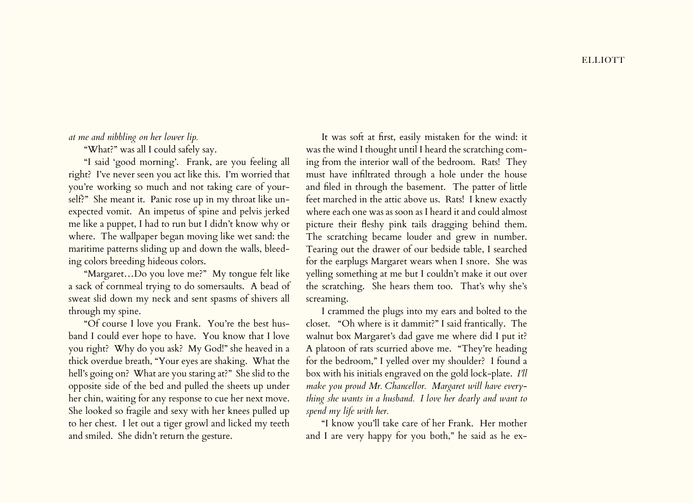## **ELLIOTT**

## *at me and nibbling on her lower lip.*

"What?" was all I could safely say.

"I said 'good morning'. Frank, are you feeling all right? I've never seen you act like this. I'm worried that you're working so much and not taking care of yourself?" She meant it. Panic rose up in my throat like unexpected vomit. An impetus of spine and pelvis jerked me like a puppet, I had to run but I didn't know why or where. The wallpaper began moving like wet sand: the maritime patterns sliding up and down the walls, bleeding colors breeding hideous colors.

"Margaret…Do you love me?" My tongue felt like a sack of cornmeal trying to do somersaults. A bead of sweat slid down my neck and sent spasms of shivers all through my spine.

"Of course I love you Frank. You're the best husband I could ever hope to have. You know that I love you right? Why do you ask? My God!" she heaved in a thick overdue breath, "Your eyes are shaking. What the hell's going on? What are you staring at?" She slid to the opposite side of the bed and pulled the sheets up under her chin, waiting for any response to cue her next move. She looked so fragile and sexy with her knees pulled up to her chest. I let out a tiger growl and licked my teeth and smiled. She didn't return the gesture.

It was soft at first, easily mistaken for the wind: it was the wind I thought until I heard the scratching coming from the interior wall of the bedroom. Rats! They must have infiltrated through a hole under the house and filed in through the basement. The patter of little feet marched in the attic above us. Rats! I knew exactly where each one was as soon as I heard it and could almost picture their fleshy pink tails dragging behind them. The scratching became louder and grew in number. Tearing out the drawer of our bedside table, I searched for the earplugs Margaret wears when I snore. She was yelling something at me but I couldn't make it out over the scratching. She hears them too. That's why she's screaming.

I crammed the plugs into my ears and bolted to the closet. "Oh where is it dammit?" I said frantically. The walnut box Margaret's dad gave me where did I put it? A platoon of rats scurried above me. "They're heading for the bedroom," I yelled over my shoulder? I found a box with his initials engraved on the gold lock-plate. *I'll make you proud Mr. Chancellor. Margaret will have everything she wants in a husband. I love her dearly and want to spend my life with her.* 

"I know you'll take care of her Frank. Her mother and I are very happy for you both," he said as he ex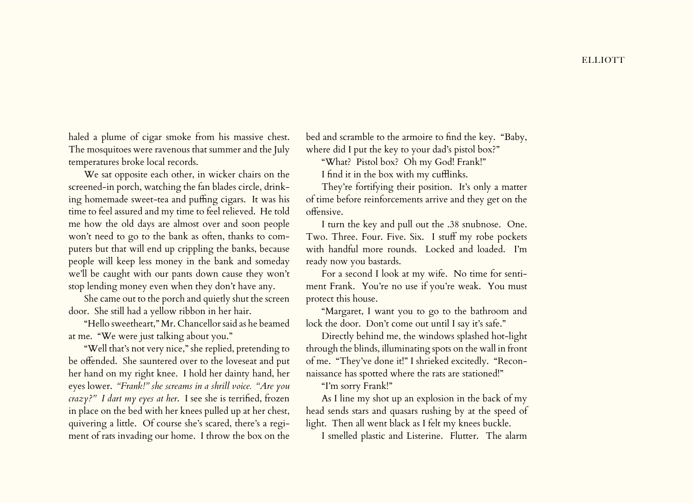haled a plume of cigar smoke from his massive chest. The mosquitoes were ravenous that summer and the July temperatures broke local records.

We sat opposite each other, in wicker chairs on the screened-in porch, watching the fan blades circle, drinking homemade sweet-tea and puffing cigars. It was his time to feel assured and my time to feel relieved. He told me how the old days are almost over and soon people won't need to go to the bank as often, thanks to computers but that will end up crippling the banks, because people will keep less money in the bank and someday we'll be caught with our pants down cause they won't stop lending money even when they don't have any.

She came out to the porch and quietly shut the screen door. She still had a yellow ribbon in her hair.

"Hello sweetheart," Mr. Chancellor said as he beamed at me. "We were just talking about you."

"Well that's not very nice," she replied, pretending to be offended. She sauntered over to the loveseat and put her hand on my right knee. I hold her dainty hand, her eyes lower. *"Frank!" she screams in a shrill voice. "Are you crazy?" I dart my eyes at her*. I see she is terrified, frozen in place on the bed with her knees pulled up at her chest, quivering a little. Of course she's scared, there's a regiment of rats invading our home. I throw the box on the

bed and scramble to the armoire to find the key. "Baby, where did I put the key to your dad's pistol box?"

"What? Pistol box? Oh my God! Frank!"

I find it in the box with my cufflinks.

They're fortifying their position. It's only a matter of time before reinforcements arrive and they get on the offensive.

I turn the key and pull out the .38 snubnose. One. Two. Three. Four. Five. Six. I stuff my robe pockets with handful more rounds. Locked and loaded. I'm ready now you bastards.

For a second I look at my wife. No time for sentiment Frank. You're no use if you're weak. You must protect this house.

"Margaret, I want you to go to the bathroom and lock the door. Don't come out until I say it's safe."

Directly behind me, the windows splashed hot-light through the blinds, illuminating spots on the wall in front of me. "They've done it!" I shrieked excitedly. "Reconnaissance has spotted where the rats are stationed!"

"I'm sorry Frank!"

As I line my shot up an explosion in the back of my head sends stars and quasars rushing by at the speed of light. Then all went black as I felt my knees buckle.

I smelled plastic and Listerine. Flutter. The alarm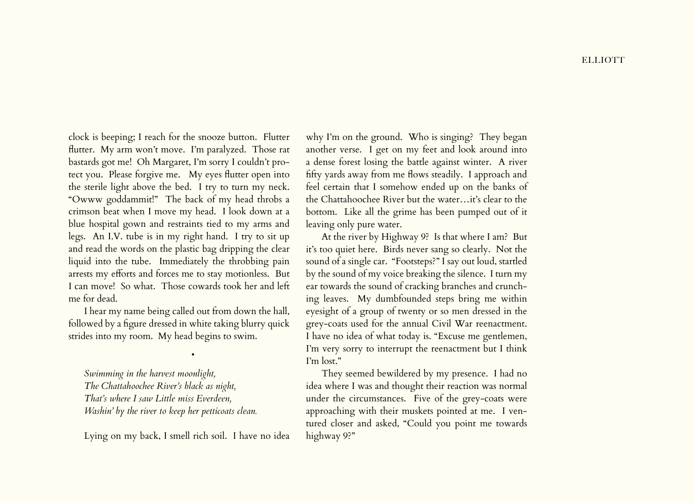clock is beeping; I reach for the snooze button. Flutter flutter. My arm won't move. I'm paralyzed. Those rat bastards got me! Oh Margaret, I'm sorry I couldn't protect you. Please forgive me. My eyes flutter open into the sterile light above the bed. I try to turn my neck. "Owww goddammit!" The back of my head throbs a crimson beat when I move my head. I look down at a blue hospital gown and restraints tied to my arms and legs. An I.V. tube is in my right hand. I try to sit up and read the words on the plastic bag dripping the clear liquid into the tube. Immediately the throbbing pain arrests my efforts and forces me to stay motionless. But I can move! So what. Those cowards took her and left me for dead.

I hear my name being called out from down the hall, followed by a figure dressed in white taking blurry quick strides into my room. My head begins to swim.

•

*Swimming in the harvest moonlight, The Chattahoochee River's black as night, That's where I saw Little miss Everdeen, Washin' by the river to keep her petticoats clean.*

Lying on my back, I smell rich soil. I have no idea

why I'm on the ground. Who is singing? They began another verse. I get on my feet and look around into a dense forest losing the battle against winter. A river fifty yards away from me flows steadily. I approach and feel certain that I somehow ended up on the banks of the Chattahoochee River but the water…it's clear to the bottom. Like all the grime has been pumped out of it leaving only pure water.

At the river by Highway 9? Is that where I am? But it's too quiet here. Birds never sang so clearly. Not the sound of a single car. "Footsteps?" I say out loud, startled by the sound of my voice breaking the silence. I turn my ear towards the sound of cracking branches and crunching leaves. My dumbfounded steps bring me within eyesight of a group of twenty or so men dressed in the grey-coats used for the annual Civil War reenactment. I have no idea of what today is. "Excuse me gentlemen, I'm very sorry to interrupt the reenactment but I think I'm lost."

They seemed bewildered by my presence. I had no idea where I was and thought their reaction was normal under the circumstances. Five of the grey-coats were approaching with their muskets pointed at me. I ventured closer and asked, "Could you point me towards highway 9?"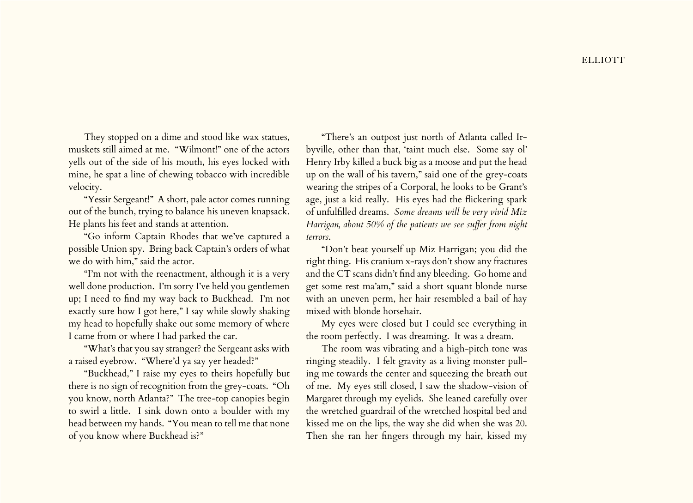They stopped on a dime and stood like wax statues, muskets still aimed at me. "Wilmont!" one of the actors yells out of the side of his mouth, his eyes locked with mine, he spat a line of chewing tobacco with incredible velocity.

"Yessir Sergeant!" A short, pale actor comes running out of the bunch, trying to balance his uneven knapsack. He plants his feet and stands at attention.

"Go inform Captain Rhodes that we've captured a possible Union spy. Bring back Captain's orders of what we do with him," said the actor.

"I'm not with the reenactment, although it is a very well done production. I'm sorry I've held you gentlemen up; I need to find my way back to Buckhead. I'm not exactly sure how I got here," I say while slowly shaking my head to hopefully shake out some memory of where I came from or where I had parked the car.

"What's that you say stranger? the Sergeant asks with a raised eyebrow. "Where'd ya say yer headed?"

"Buckhead," I raise my eyes to theirs hopefully but there is no sign of recognition from the grey-coats. "Oh you know, north Atlanta?" The tree-top canopies begin to swirl a little. I sink down onto a boulder with my head between my hands. "You mean to tell me that none of you know where Buckhead is?"

"There's an outpost just north of Atlanta called Irbyville, other than that, 'taint much else. Some say ol' Henry Irby killed a buck big as a moose and put the head up on the wall of his tavern," said one of the grey-coats wearing the stripes of a Corporal, he looks to be Grant's age, just a kid really. His eyes had the flickering spark of unfulfilled dreams. *Some dreams will be very vivid Miz Harrigan, about 50% of the patients we see suffer from night terrors*.

"Don't beat yourself up Miz Harrigan; you did the right thing. His cranium x-rays don't show any fractures and the CT scans didn't find any bleeding. Go home and get some rest ma'am," said a short squant blonde nurse with an uneven perm, her hair resembled a bail of hay mixed with blonde horsehair.

My eyes were closed but I could see everything in the room perfectly. I was dreaming. It was a dream.

The room was vibrating and a high-pitch tone was ringing steadily. I felt gravity as a living monster pulling me towards the center and squeezing the breath out of me. My eyes still closed, I saw the shadow-vision of Margaret through my eyelids. She leaned carefully over the wretched guardrail of the wretched hospital bed and kissed me on the lips, the way she did when she was 20. Then she ran her fingers through my hair, kissed my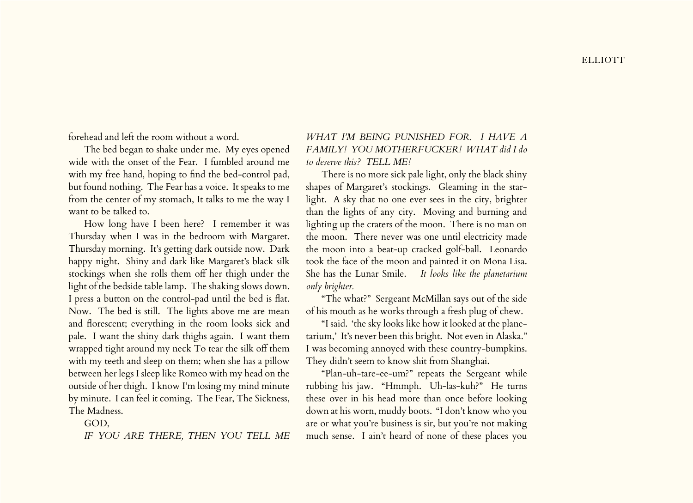forehead and left the room without a word.

The bed began to shake under me. My eyes opened wide with the onset of the Fear. I fumbled around me with my free hand, hoping to find the bed-control pad, but found nothing. The Fear has a voice. It speaks to me from the center of my stomach, It talks to me the way I want to be talked to.

How long have I been here? I remember it was Thursday when I was in the bedroom with Margaret. Thursday morning. It's getting dark outside now. Dark happy night. Shiny and dark like Margaret's black silk stockings when she rolls them off her thigh under the light of the bedside table lamp. The shaking slows down. I press a button on the control-pad until the bed is flat. Now. The bed is still. The lights above me are mean and florescent; everything in the room looks sick and pale. I want the shiny dark thighs again. I want them wrapped tight around my neck To tear the silk off them with my teeth and sleep on them; when she has a pillow between her legs I sleep like Romeo with my head on the outside of her thigh. I know I'm losing my mind minute by minute. I can feel it coming. The Fear, The Sickness, The Madness.

## GOD,

*IF YOU ARE THERE, THEN YOU TELL ME* 

*WHAT I'M BEING PUNISHED FOR. I HAVE A FAMILY! YOU MOTHERFUCKER! WHAT did I do to deserve this? TELL ME!*

There is no more sick pale light, only the black shiny shapes of Margaret's stockings. Gleaming in the starlight. A sky that no one ever sees in the city, brighter than the lights of any city. Moving and burning and lighting up the craters of the moon. There is no man on the moon. There never was one until electricity made the moon into a beat-up cracked golf-ball. Leonardo took the face of the moon and painted it on Mona Lisa. She has the Lunar Smile. *It looks like the planetarium only brighter.*

"The what?" Sergeant McMillan says out of the side of his mouth as he works through a fresh plug of chew.

"I said. 'the sky looks like how it looked at the planetarium,' It's never been this bright. Not even in Alaska." I was becoming annoyed with these country-bumpkins. They didn't seem to know shit from Shanghai.

"Plan-uh-tare-ee-um?" repeats the Sergeant while rubbing his jaw. "Hmmph. Uh-las-kuh?" He turns these over in his head more than once before looking down at his worn, muddy boots. "I don't know who you are or what you're business is sir, but you're not making much sense. I ain't heard of none of these places you